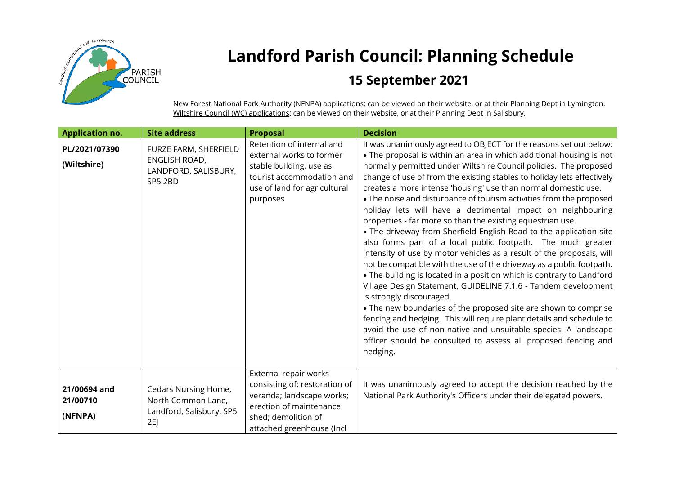

## **Landford Parish Council: Planning Schedule**

## **15 September 2021**

New Forest National Park Authority (NFNPA) applications: can be viewed on their website, or at their Planning Dept in Lymington. Wiltshire Council (WC) applications: can be viewed on their website, or at their Planning Dept in Salisbury.

| <b>Application no.</b>              | <b>Site address</b>                                                          | <b>Proposal</b>                                                                                                                                                    | <b>Decision</b>                                                                                                                                                                                                                                                                                                                                                                                                                                                                                                                                                                                                                                                                                                                                                                                                                                                                                                                                                                                                                                                                                                                                                                                                                                                                                                          |
|-------------------------------------|------------------------------------------------------------------------------|--------------------------------------------------------------------------------------------------------------------------------------------------------------------|--------------------------------------------------------------------------------------------------------------------------------------------------------------------------------------------------------------------------------------------------------------------------------------------------------------------------------------------------------------------------------------------------------------------------------------------------------------------------------------------------------------------------------------------------------------------------------------------------------------------------------------------------------------------------------------------------------------------------------------------------------------------------------------------------------------------------------------------------------------------------------------------------------------------------------------------------------------------------------------------------------------------------------------------------------------------------------------------------------------------------------------------------------------------------------------------------------------------------------------------------------------------------------------------------------------------------|
| PL/2021/07390<br>(Wiltshire)        | FURZE FARM, SHERFIELD<br>ENGLISH ROAD,<br>LANDFORD, SALISBURY,<br>SP5 2BD    | Retention of internal and<br>external works to former<br>stable building, use as<br>tourist accommodation and<br>use of land for agricultural<br>purposes          | It was unanimously agreed to OBJECT for the reasons set out below:<br>• The proposal is within an area in which additional housing is not<br>normally permitted under Wiltshire Council policies. The proposed<br>change of use of from the existing stables to holiday lets effectively<br>creates a more intense 'housing' use than normal domestic use.<br>. The noise and disturbance of tourism activities from the proposed<br>holiday lets will have a detrimental impact on neighbouring<br>properties - far more so than the existing equestrian use.<br>• The driveway from Sherfield English Road to the application site<br>also forms part of a local public footpath. The much greater<br>intensity of use by motor vehicles as a result of the proposals, will<br>not be compatible with the use of the driveway as a public footpath.<br>• The building is located in a position which is contrary to Landford<br>Village Design Statement, GUIDELINE 7.1.6 - Tandem development<br>is strongly discouraged.<br>• The new boundaries of the proposed site are shown to comprise<br>fencing and hedging. This will require plant details and schedule to<br>avoid the use of non-native and unsuitable species. A landscape<br>officer should be consulted to assess all proposed fencing and<br>hedging. |
| 21/00694 and<br>21/00710<br>(NFNPA) | Cedars Nursing Home,<br>North Common Lane,<br>Landford, Salisbury, SP5<br>2E | External repair works<br>consisting of: restoration of<br>veranda; landscape works;<br>erection of maintenance<br>shed; demolition of<br>attached greenhouse (Incl | It was unanimously agreed to accept the decision reached by the<br>National Park Authority's Officers under their delegated powers.                                                                                                                                                                                                                                                                                                                                                                                                                                                                                                                                                                                                                                                                                                                                                                                                                                                                                                                                                                                                                                                                                                                                                                                      |